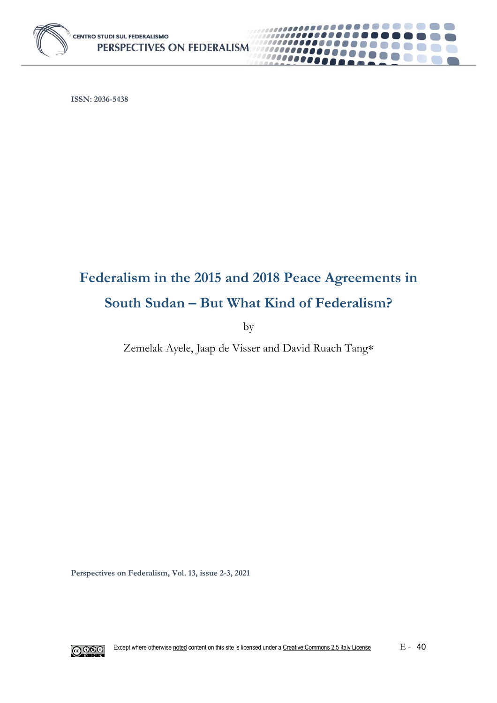

**ISSN: 2036-5438**

# **Federalism in the 2015 and 2018 Peace Agreements in South Sudan – But What Kind of Federalism?**

00000000

........

by

Zemelak Ayele, Jaap de Visser and David Ruach Tang

**Perspectives on Federalism, Vol. 13, issue 2-3, 2021**

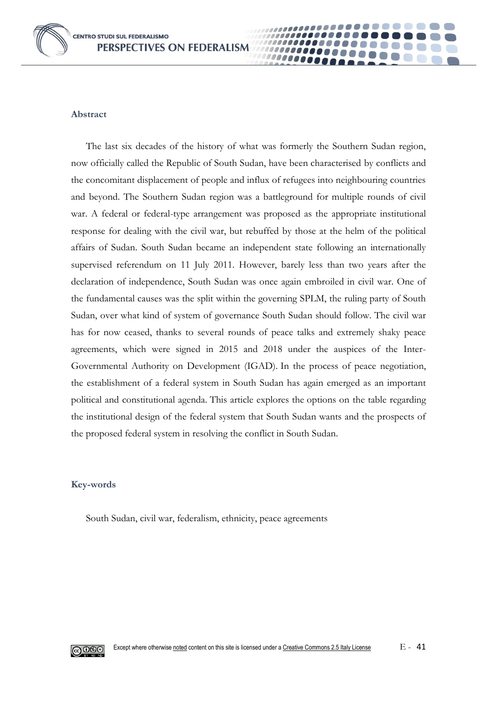**CENTRO STUDI SUL FEDERALISMO** PERSPECTIVES ON FEDERALISM



#### **Abstract**

The last six decades of the history of what was formerly the Southern Sudan region, now officially called the Republic of South Sudan, have been characterised by conflicts and the concomitant displacement of people and influx of refugees into neighbouring countries and beyond. The Southern Sudan region was a battleground for multiple rounds of civil war. A federal or federal-type arrangement was proposed as the appropriate institutional response for dealing with the civil war, but rebuffed by those at the helm of the political affairs of Sudan. South Sudan became an independent state following an internationally supervised referendum on 11 July 2011. However, barely less than two years after the declaration of independence, South Sudan was once again embroiled in civil war. One of the fundamental causes was the split within the governing SPLM, the ruling party of South Sudan, over what kind of system of governance South Sudan should follow. The civil war has for now ceased, thanks to several rounds of peace talks and extremely shaky peace agreements, which were signed in 2015 and 2018 under the auspices of the Inter-Governmental Authority on Development (IGAD). In the process of peace negotiation, the establishment of a federal system in South Sudan has again emerged as an important political and constitutional agenda. This article explores the options on the table regarding the institutional design of the federal system that South Sudan wants and the prospects of the proposed federal system in resolving the conflict in South Sudan.

00000

#### **Key-words**

South Sudan, civil war, federalism, ethnicity, peace agreements

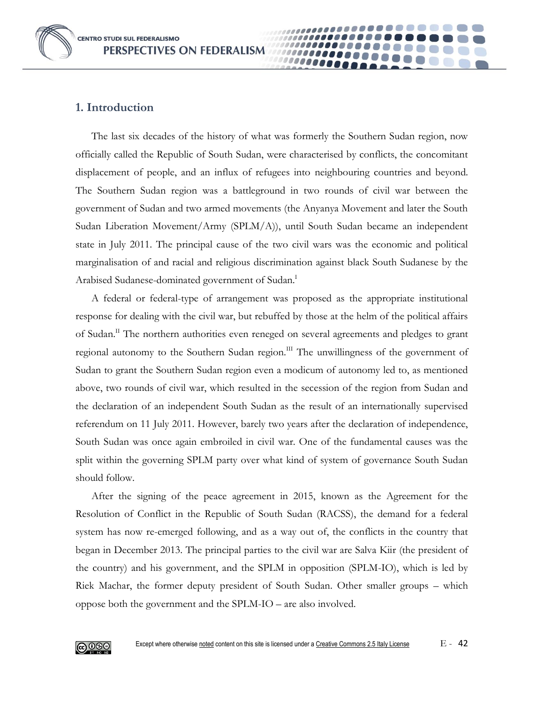**CENTRO STUDI SUL FEDERALISMO PERSPECTIVES ON FEDERALISM** 

# **1. Introduction**

The last six decades of the history of what was formerly the Southern Sudan region, now officially called the Republic of South Sudan, were characterised by conflicts, the concomitant displacement of people, and an influx of refugees into neighbouring countries and beyond. The Southern Sudan region was a battleground in two rounds of civil war between the government of Sudan and two armed movements (the Anyanya Movement and later the South Sudan Liberation Movement/Army (SPLM/A)), until South Sudan became an independent state in July 2011. The principal cause of the two civil wars was the economic and political marginalisation of and racial and religious discrimination against black South Sudanese by the Arabised Sudanese-dominated government of Sudan.<sup>I</sup>

A federal or federal-type of arrangement was proposed as the appropriate institutional response for dealing with the civil war, but rebuffed by those at the helm of the political affairs of Sudan.<sup>II</sup> The northern authorities even reneged on several agreements and pledges to grant regional autonomy to the Southern Sudan region.<sup>III</sup> The unwillingness of the government of Sudan to grant the Southern Sudan region even a modicum of autonomy led to, as mentioned above, two rounds of civil war, which resulted in the secession of the region from Sudan and the declaration of an independent South Sudan as the result of an internationally supervised referendum on 11 July 2011. However, barely two years after the declaration of independence, South Sudan was once again embroiled in civil war. One of the fundamental causes was the split within the governing SPLM party over what kind of system of governance South Sudan should follow.

After the signing of the peace agreement in 2015, known as the Agreement for the Resolution of Conflict in the Republic of South Sudan (RACSS), the demand for a federal system has now re-emerged following, and as a way out of, the conflicts in the country that began in December 2013. The principal parties to the civil war are Salva Kiir (the president of the country) and his government, and the SPLM in opposition (SPLM-IO), which is led by Riek Machar, the former deputy president of South Sudan. Other smaller groups – which oppose both the government and the SPLM-IO – are also involved.

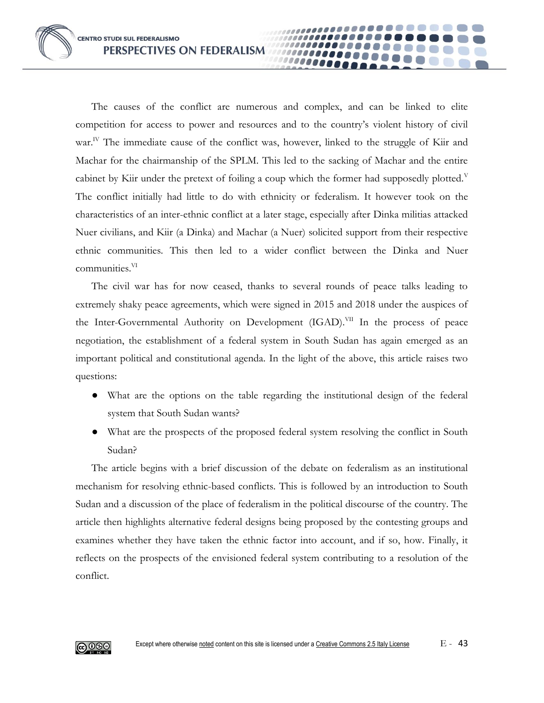The causes of the conflict are numerous and complex, and can be linked to elite competition for access to power and resources and to the country's violent history of civil war.<sup>IV</sup> The immediate cause of the conflict was, however, linked to the struggle of Kiir and Machar for the chairmanship of the SPLM. This led to the sacking of Machar and the entire cabinet by Kiir under the pretext of foiling a coup which the former had supposedly plotted. $V$ The conflict initially had little to do with ethnicity or federalism. It however took on the characteristics of an inter-ethnic conflict at a later stage, especially after Dinka militias attacked Nuer civilians, and Kiir (a Dinka) and Machar (a Nuer) solicited support from their respective ethnic communities. This then led to a wider conflict between the Dinka and Nuer communities.VI

The civil war has for now ceased, thanks to several rounds of peace talks leading to extremely shaky peace agreements, which were signed in 2015 and 2018 under the auspices of the Inter-Governmental Authority on Development (IGAD).<sup>VII</sup> In the process of peace negotiation, the establishment of a federal system in South Sudan has again emerged as an important political and constitutional agenda. In the light of the above, this article raises two questions:

- What are the options on the table regarding the institutional design of the federal system that South Sudan wants?
- What are the prospects of the proposed federal system resolving the conflict in South Sudan?

The article begins with a brief discussion of the debate on federalism as an institutional mechanism for resolving ethnic-based conflicts. This is followed by an introduction to South Sudan and a discussion of the place of federalism in the political discourse of the country. The article then highlights alternative federal designs being proposed by the contesting groups and examines whether they have taken the ethnic factor into account, and if so, how. Finally, it reflects on the prospects of the envisioned federal system contributing to a resolution of the conflict.

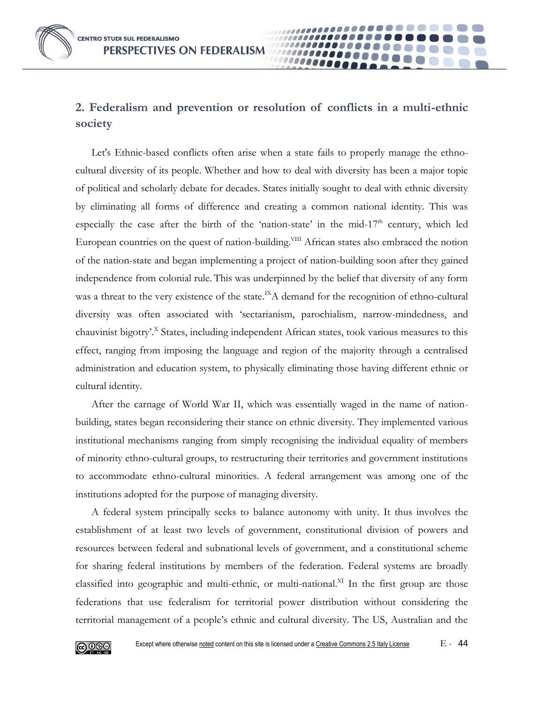# **2. Federalism and prevention or resolution of conflicts in a multi-ethnic society**

Let's Ethnic-based conflicts often arise when a state fails to properly manage the ethnocultural diversity of its people. Whether and how to deal with diversity has been a major topic of political and scholarly debate for decades. States initially sought to deal with ethnic diversity by eliminating all forms of difference and creating a common national identity. This was especially the case after the birth of the 'nation-state' in the mid-17<sup>th</sup> century, which led European countries on the quest of nation-building.<sup>VIII</sup> African states also embraced the notion of the nation-state and began implementing a project of nation-building soon after they gained independence from colonial rule. This was underpinned by the belief that diversity of any form was a threat to the very existence of the state.<sup>IX</sup>A demand for the recognition of ethno-cultural diversity was often associated with 'sectarianism, parochialism, narrow-mindedness, and chauvinist bigotry'.<sup>X</sup> States, including independent African states, took various measures to this effect, ranging from imposing the language and region of the majority through a centralised administration and education system, to physically eliminating those having different ethnic or cultural identity.

After the carnage of World War II, which was essentially waged in the name of nationbuilding, states began reconsidering their stance on ethnic diversity. They implemented various institutional mechanisms ranging from simply recognising the individual equality of members of minority ethno-cultural groups, to restructuring their territories and government institutions to accommodate ethno-cultural minorities. A federal arrangement was among one of the institutions adopted for the purpose of managing diversity.

A federal system principally seeks to balance autonomy with unity. It thus involves the establishment of at least two levels of government, constitutional division of powers and resources between federal and subnational levels of government, and a constitutional scheme for sharing federal institutions by members of the federation. Federal systems are broadly classified into geographic and multi-ethnic, or multi-national.<sup>XI</sup> In the first group are those federations that use federalism for territorial power distribution without considering the territorial management of a people's ethnic and cultural diversity. The US, Australian and the

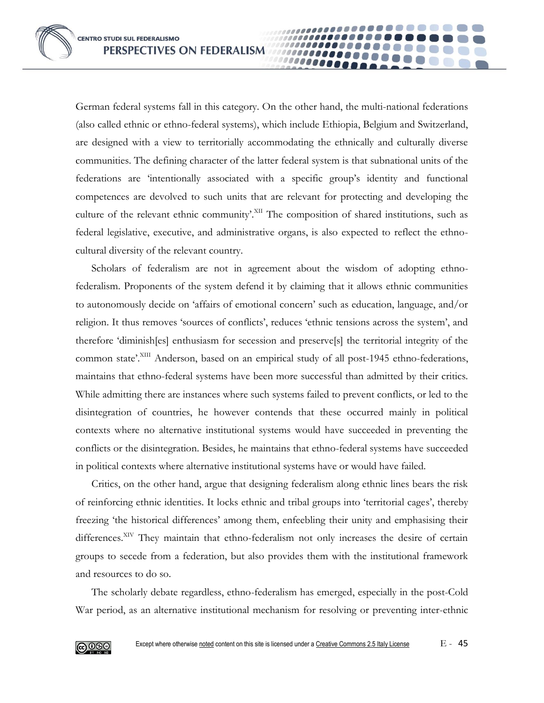**CENTRO STUDI SUL FEDERALISMO PERSPECTIVES ON FEDERALISM** 

German federal systems fall in this category. On the other hand, the multi-national federations (also called ethnic or ethno-federal systems), which include Ethiopia, Belgium and Switzerland, are designed with a view to territorially accommodating the ethnically and culturally diverse communities. The defining character of the latter federal system is that subnational units of the federations are 'intentionally associated with a specific group's identity and functional competences are devolved to such units that are relevant for protecting and developing the culture of the relevant ethnic community'. XII The composition of shared institutions, such as federal legislative, executive, and administrative organs, is also expected to reflect the ethnocultural diversity of the relevant country.

Scholars of federalism are not in agreement about the wisdom of adopting ethnofederalism. Proponents of the system defend it by claiming that it allows ethnic communities to autonomously decide on 'affairs of emotional concern' such as education, language, and/or religion. It thus removes 'sources of conflicts', reduces 'ethnic tensions across the system', and therefore 'diminish[es] enthusiasm for secession and preserve[s] the territorial integrity of the common state'.XIII Anderson, based on an empirical study of all post-1945 ethno-federations, maintains that ethno-federal systems have been more successful than admitted by their critics. While admitting there are instances where such systems failed to prevent conflicts, or led to the disintegration of countries, he however contends that these occurred mainly in political contexts where no alternative institutional systems would have succeeded in preventing the conflicts or the disintegration. Besides, he maintains that ethno-federal systems have succeeded in political contexts where alternative institutional systems have or would have failed.

Critics, on the other hand, argue that designing federalism along ethnic lines bears the risk of reinforcing ethnic identities. It locks ethnic and tribal groups into 'territorial cages', thereby freezing 'the historical differences' among them, enfeebling their unity and emphasising their differences.<sup>XIV</sup> They maintain that ethno-federalism not only increases the desire of certain groups to secede from a federation, but also provides them with the institutional framework and resources to do so.

The scholarly debate regardless, ethno-federalism has emerged, especially in the post-Cold War period, as an alternative institutional mechanism for resolving or preventing inter-ethnic

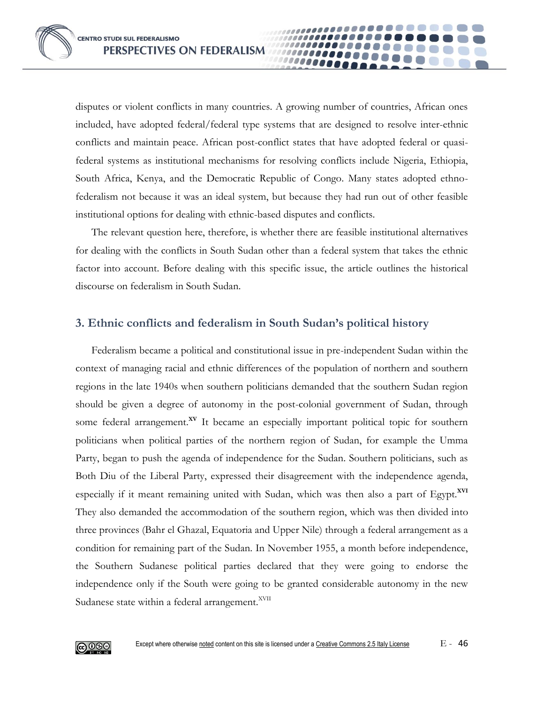disputes or violent conflicts in many countries. A growing number of countries, African ones included, have adopted federal/federal type systems that are designed to resolve inter-ethnic conflicts and maintain peace. African post-conflict states that have adopted federal or quasifederal systems as institutional mechanisms for resolving conflicts include Nigeria, Ethiopia, South Africa, Kenya, and the Democratic Republic of Congo. Many states adopted ethnofederalism not because it was an ideal system, but because they had run out of other feasible institutional options for dealing with ethnic-based disputes and conflicts.

The relevant question here, therefore, is whether there are feasible institutional alternatives for dealing with the conflicts in South Sudan other than a federal system that takes the ethnic factor into account. Before dealing with this specific issue, the article outlines the historical discourse on federalism in South Sudan.

## **3. Ethnic conflicts and federalism in South Sudan's political history**

Federalism became a political and constitutional issue in pre-independent Sudan within the context of managing racial and ethnic differences of the population of northern and southern regions in the late 1940s when southern politicians demanded that the southern Sudan region should be given a degree of autonomy in the post-colonial government of Sudan, through some federal arrangement.**XV** It became an especially important political topic for southern politicians when political parties of the northern region of Sudan, for example the Umma Party, began to push the agenda of independence for the Sudan. Southern politicians, such as Both Diu of the Liberal Party, expressed their disagreement with the independence agenda, especially if it meant remaining united with Sudan, which was then also a part of Egypt.**XVI** They also demanded the accommodation of the southern region, which was then divided into three provinces (Bahr el Ghazal, Equatoria and Upper Nile) through a federal arrangement as a condition for remaining part of the Sudan. In November 1955, a month before independence, the Southern Sudanese political parties declared that they were going to endorse the independence only if the South were going to be granted considerable autonomy in the new Sudanese state within a federal arrangement.<sup>XVII</sup>

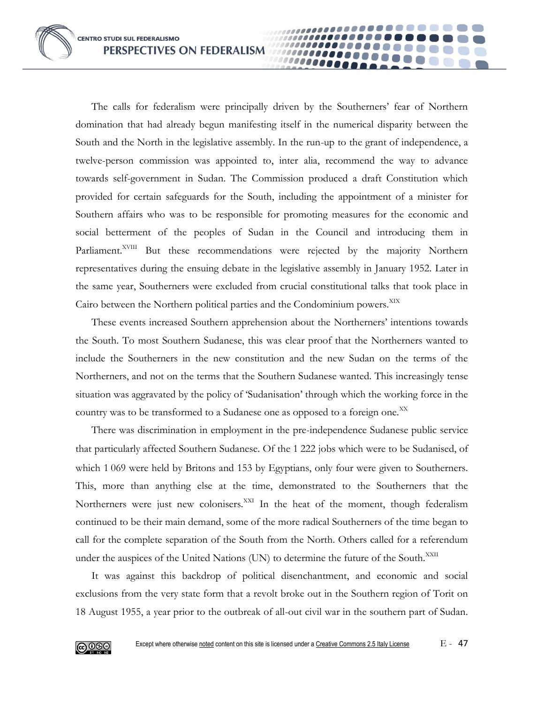The calls for federalism were principally driven by the Southerners' fear of Northern domination that had already begun manifesting itself in the numerical disparity between the South and the North in the legislative assembly. In the run-up to the grant of independence, a twelve-person commission was appointed to, inter alia, recommend the way to advance towards self-government in Sudan. The Commission produced a draft Constitution which provided for certain safeguards for the South, including the appointment of a minister for Southern affairs who was to be responsible for promoting measures for the economic and social betterment of the peoples of Sudan in the Council and introducing them in Parliament.<sup>XVIII</sup> But these recommendations were rejected by the majority Northern representatives during the ensuing debate in the legislative assembly in January 1952. Later in the same year, Southerners were excluded from crucial constitutional talks that took place in Cairo between the Northern political parties and the Condominium powers.<sup>XIX</sup>

1000000

These events increased Southern apprehension about the Northerners' intentions towards the South. To most Southern Sudanese, this was clear proof that the Northerners wanted to include the Southerners in the new constitution and the new Sudan on the terms of the Northerners, and not on the terms that the Southern Sudanese wanted. This increasingly tense situation was aggravated by the policy of 'Sudanisation' through which the working force in the country was to be transformed to a Sudanese one as opposed to a foreign one.<sup>XX</sup>

There was discrimination in employment in the pre-independence Sudanese public service that particularly affected Southern Sudanese. Of the 1 222 jobs which were to be Sudanised, of which 1 069 were held by Britons and 153 by Egyptians, only four were given to Southerners. This, more than anything else at the time, demonstrated to the Southerners that the Northerners were just new colonisers.<sup>XXI</sup> In the heat of the moment, though federalism continued to be their main demand, some of the more radical Southerners of the time began to call for the complete separation of the South from the North. Others called for a referendum under the auspices of the United Nations (UN) to determine the future of the South.<sup>XXII</sup>

It was against this backdrop of political disenchantment, and economic and social exclusions from the very state form that a revolt broke out in the Southern region of Torit on 18 August 1955, a year prior to the outbreak of all-out civil war in the southern part of Sudan.

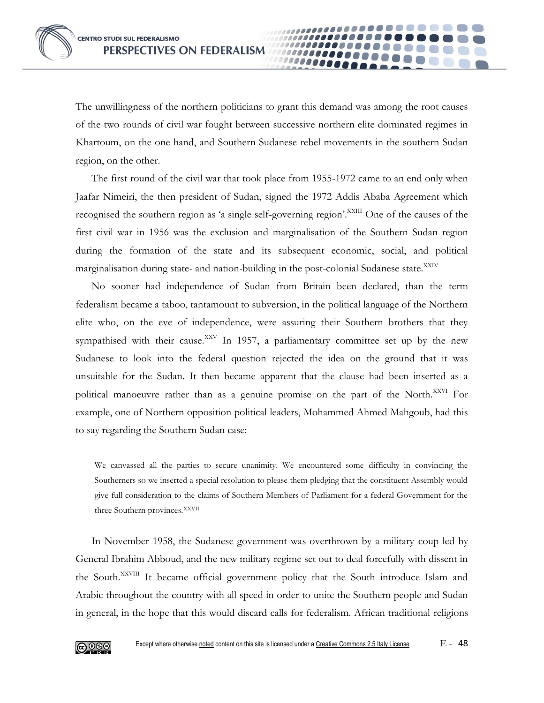The unwillingness of the northern politicians to grant this demand was among the root causes of the two rounds of civil war fought between successive northern elite dominated regimes in Khartoum, on the one hand, and Southern Sudanese rebel movements in the southern Sudan region, on the other.

The first round of the civil war that took place from 1955-1972 came to an end only when Jaafar Nimeiri, the then president of Sudan, signed the 1972 Addis Ababa Agreement which recognised the southern region as 'a single self-governing region'.<sup>XXIII</sup> One of the causes of the first civil war in 1956 was the exclusion and marginalisation of the Southern Sudan region during the formation of the state and its subsequent economic, social, and political marginalisation during state- and nation-building in the post-colonial Sudanese state.<sup>XXIV</sup>

No sooner had independence of Sudan from Britain been declared, than the term federalism became a taboo, tantamount to subversion, in the political language of the Northern elite who, on the eve of independence, were assuring their Southern brothers that they sympathised with their cause.<sup>XXV</sup> In 1957, a parliamentary committee set up by the new Sudanese to look into the federal question rejected the idea on the ground that it was unsuitable for the Sudan. It then became apparent that the clause had been inserted as a political manoeuvre rather than as a genuine promise on the part of the North.<sup>XXVI</sup> For example, one of Northern opposition political leaders, Mohammed Ahmed Mahgoub, had this to say regarding the Southern Sudan case:

We canvassed all the parties to secure unanimity. We encountered some difficulty in convincing the Southerners so we inserted a special resolution to please them pledging that the constituent Assembly would give full consideration to the claims of Southern Members of Parliament for a federal Government for the three Southern provinces. XXVII

In November 1958, the Sudanese government was overthrown by a military coup led by General Ibrahim Abboud, and the new military regime set out to deal forcefully with dissent in the South.<sup>XXVIII</sup> It became official government policy that the South introduce Islam and Arabic throughout the country with all speed in order to unite the Southern people and Sudan in general, in the hope that this would discard calls for federalism. African traditional religions

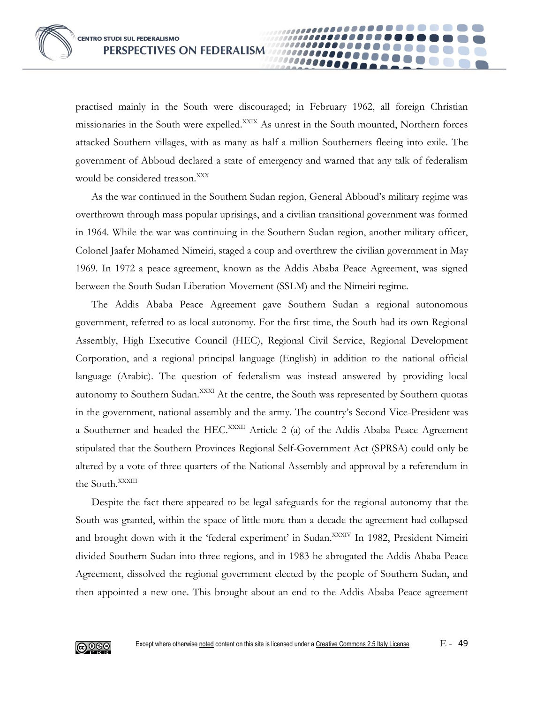practised mainly in the South were discouraged; in February 1962, all foreign Christian missionaries in the South were expelled.<sup>XXIX</sup> As unrest in the South mounted, Northern forces attacked Southern villages, with as many as half a million Southerners fleeing into exile. The government of Abboud declared a state of emergency and warned that any talk of federalism would be considered treason.<sup>XXX</sup>

As the war continued in the Southern Sudan region, General Abboud's military regime was overthrown through mass popular uprisings, and a civilian transitional government was formed in 1964. While the war was continuing in the Southern Sudan region, another military officer, Colonel Jaafer Mohamed Nimeiri, staged a coup and overthrew the civilian government in May 1969. In 1972 a peace agreement, known as the Addis Ababa Peace Agreement, was signed between the South Sudan Liberation Movement (SSLM) and the Nimeiri regime.

The Addis Ababa Peace Agreement gave Southern Sudan a regional autonomous government, referred to as local autonomy. For the first time, the South had its own Regional Assembly, High Executive Council (HEC), Regional Civil Service, Regional Development Corporation, and a regional principal language (English) in addition to the national official language (Arabic). The question of federalism was instead answered by providing local autonomy to Southern Sudan.<sup>XXXI</sup> At the centre, the South was represented by Southern quotas in the government, national assembly and the army. The country's Second Vice-President was a Southerner and headed the HEC.<sup>XXXII</sup> Article 2 (a) of the Addis Ababa Peace Agreement stipulated that the Southern Provinces Regional Self-Government Act (SPRSA) could only be altered by a vote of three-quarters of the National Assembly and approval by a referendum in the South.<sup>XXXIII</sup>

Despite the fact there appeared to be legal safeguards for the regional autonomy that the South was granted, within the space of little more than a decade the agreement had collapsed and brought down with it the 'federal experiment' in Sudan.<sup>XXXIV</sup> In 1982, President Nimeiri divided Southern Sudan into three regions, and in 1983 he abrogated the Addis Ababa Peace Agreement, dissolved the regional government elected by the people of Southern Sudan, and then appointed a new one. This brought about an end to the Addis Ababa Peace agreement

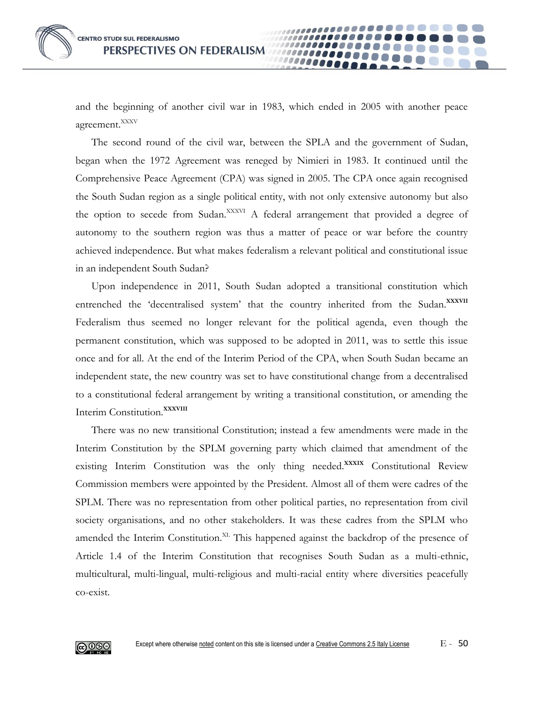and the beginning of another civil war in 1983, which ended in 2005 with another peace agreement.<sup>XXXV</sup>

10000A

The second round of the civil war, between the SPLA and the government of Sudan, began when the 1972 Agreement was reneged by Nimieri in 1983. It continued until the Comprehensive Peace Agreement (CPA) was signed in 2005. The CPA once again recognised the South Sudan region as a single political entity, with not only extensive autonomy but also the option to secede from Sudan.<sup>XXXVI</sup> A federal arrangement that provided a degree of autonomy to the southern region was thus a matter of peace or war before the country achieved independence. But what makes federalism a relevant political and constitutional issue in an independent South Sudan?

Upon independence in 2011, South Sudan adopted a transitional constitution which entrenched the 'decentralised system' that the country inherited from the Sudan.<sup>XXXVII</sup> Federalism thus seemed no longer relevant for the political agenda, even though the permanent constitution, which was supposed to be adopted in 2011, was to settle this issue once and for all. At the end of the Interim Period of the CPA, when South Sudan became an independent state, the new country was set to have constitutional change from a decentralised to a constitutional federal arrangement by writing a transitional constitution, or amending the Interim Constitution.**XXXVIII**

There was no new transitional Constitution; instead a few amendments were made in the Interim Constitution by the SPLM governing party which claimed that amendment of the existing Interim Constitution was the only thing needed.**XXXIX** Constitutional Review Commission members were appointed by the President. Almost all of them were cadres of the SPLM. There was no representation from other political parties, no representation from civil society organisations, and no other stakeholders. It was these cadres from the SPLM who amended the Interim Constitution.<sup>XL</sup> This happened against the backdrop of the presence of Article 1.4 of the Interim Constitution that recognises South Sudan as a multi-ethnic, multicultural, multi-lingual, multi-religious and multi-racial entity where diversities peacefully co-exist.

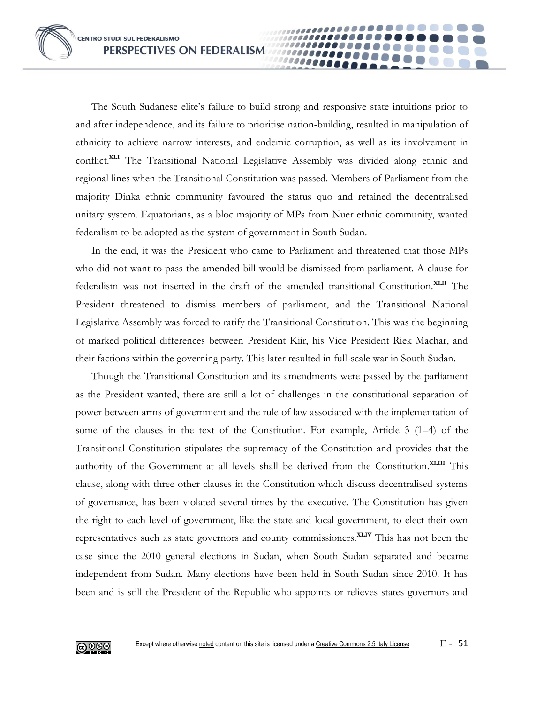The South Sudanese elite's failure to build strong and responsive state intuitions prior to and after independence, and its failure to prioritise nation-building, resulted in manipulation of ethnicity to achieve narrow interests, and endemic corruption, as well as its involvement in conflict.**XLI** The Transitional National Legislative Assembly was divided along ethnic and regional lines when the Transitional Constitution was passed. Members of Parliament from the majority Dinka ethnic community favoured the status quo and retained the decentralised unitary system. Equatorians, as a bloc majority of MPs from Nuer ethnic community, wanted federalism to be adopted as the system of government in South Sudan.

In the end, it was the President who came to Parliament and threatened that those MPs who did not want to pass the amended bill would be dismissed from parliament. A clause for federalism was not inserted in the draft of the amended transitional Constitution.**XLII** The President threatened to dismiss members of parliament, and the Transitional National Legislative Assembly was forced to ratify the Transitional Constitution. This was the beginning of marked political differences between President Kiir, his Vice President Riek Machar, and their factions within the governing party. This later resulted in full-scale war in South Sudan.

Though the Transitional Constitution and its amendments were passed by the parliament as the President wanted, there are still a lot of challenges in the constitutional separation of power between arms of government and the rule of law associated with the implementation of some of the clauses in the text of the Constitution. For example, Article 3 (1–4) of the Transitional Constitution stipulates the supremacy of the Constitution and provides that the authority of the Government at all levels shall be derived from the Constitution.**XLIII** This clause, along with three other clauses in the Constitution which discuss decentralised systems of governance, has been violated several times by the executive. The Constitution has given the right to each level of government, like the state and local government, to elect their own representatives such as state governors and county commissioners.**XLIV** This has not been the case since the 2010 general elections in Sudan, when South Sudan separated and became independent from Sudan. Many elections have been held in South Sudan since 2010. It has been and is still the President of the Republic who appoints or relieves states governors and

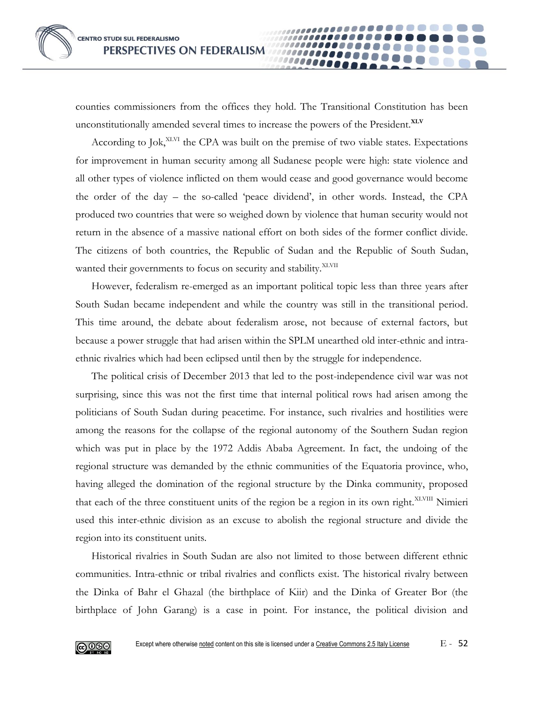counties commissioners from the offices they hold. The Transitional Constitution has been unconstitutionally amended several times to increase the powers of the President.**XLV**

10000e

According to Jok,<sup>XLVI</sup> the CPA was built on the premise of two viable states. Expectations for improvement in human security among all Sudanese people were high: state violence and all other types of violence inflicted on them would cease and good governance would become the order of the day – the so-called 'peace dividend', in other words. Instead, the CPA produced two countries that were so weighed down by violence that human security would not return in the absence of a massive national effort on both sides of the former conflict divide. The citizens of both countries, the Republic of Sudan and the Republic of South Sudan, wanted their governments to focus on security and stability.<sup>XLVII</sup>

However, federalism re-emerged as an important political topic less than three years after South Sudan became independent and while the country was still in the transitional period. This time around, the debate about federalism arose, not because of external factors, but because a power struggle that had arisen within the SPLM unearthed old inter-ethnic and intraethnic rivalries which had been eclipsed until then by the struggle for independence.

The political crisis of December 2013 that led to the post-independence civil war was not surprising, since this was not the first time that internal political rows had arisen among the politicians of South Sudan during peacetime. For instance, such rivalries and hostilities were among the reasons for the collapse of the regional autonomy of the Southern Sudan region which was put in place by the 1972 Addis Ababa Agreement. In fact, the undoing of the regional structure was demanded by the ethnic communities of the Equatoria province, who, having alleged the domination of the regional structure by the Dinka community, proposed that each of the three constituent units of the region be a region in its own right.<sup>XLVIII</sup> Nimieri used this inter-ethnic division as an excuse to abolish the regional structure and divide the region into its constituent units.

Historical rivalries in South Sudan are also not limited to those between different ethnic communities. Intra-ethnic or tribal rivalries and conflicts exist. The historical rivalry between the Dinka of Bahr el Ghazal (the birthplace of Kiir) and the Dinka of Greater Bor (the birthplace of John Garang) is a case in point. For instance, the political division and

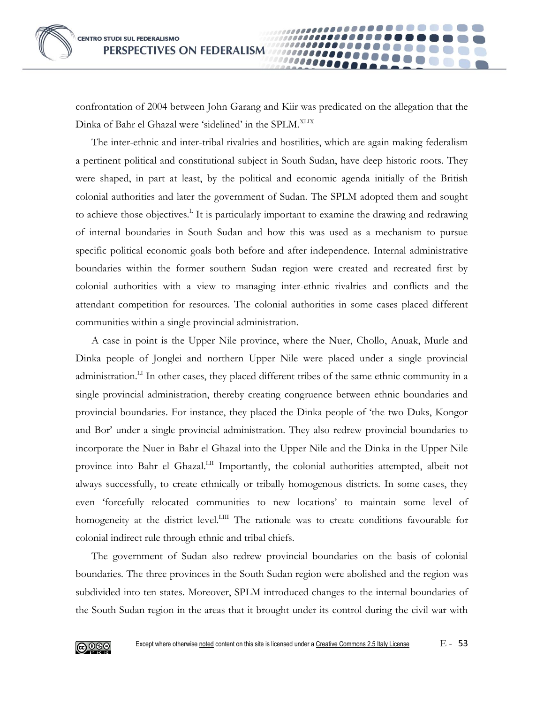confrontation of 2004 between John Garang and Kiir was predicated on the allegation that the Dinka of Bahr el Ghazal were 'sidelined' in the SPLM.<sup>XLIX</sup>

The inter-ethnic and inter-tribal rivalries and hostilities, which are again making federalism a pertinent political and constitutional subject in South Sudan, have deep historic roots. They were shaped, in part at least, by the political and economic agenda initially of the British colonial authorities and later the government of Sudan. The SPLM adopted them and sought to achieve those objectives.<sup>I</sup> It is particularly important to examine the drawing and redrawing of internal boundaries in South Sudan and how this was used as a mechanism to pursue specific political economic goals both before and after independence. Internal administrative boundaries within the former southern Sudan region were created and recreated first by colonial authorities with a view to managing inter-ethnic rivalries and conflicts and the attendant competition for resources. The colonial authorities in some cases placed different communities within a single provincial administration.

A case in point is the Upper Nile province, where the Nuer, Chollo, Anuak, Murle and Dinka people of Jonglei and northern Upper Nile were placed under a single provincial administration.<sup>LI</sup> In other cases, they placed different tribes of the same ethnic community in a single provincial administration, thereby creating congruence between ethnic boundaries and provincial boundaries. For instance, they placed the Dinka people of 'the two Duks, Kongor and Bor' under a single provincial administration. They also redrew provincial boundaries to incorporate the Nuer in Bahr el Ghazal into the Upper Nile and the Dinka in the Upper Nile province into Bahr el Ghazal.<sup>LII</sup> Importantly, the colonial authorities attempted, albeit not always successfully, to create ethnically or tribally homogenous districts. In some cases, they even 'forcefully relocated communities to new locations' to maintain some level of homogeneity at the district level.<sup>LIII</sup> The rationale was to create conditions favourable for colonial indirect rule through ethnic and tribal chiefs.

The government of Sudan also redrew provincial boundaries on the basis of colonial boundaries. The three provinces in the South Sudan region were abolished and the region was subdivided into ten states. Moreover, SPLM introduced changes to the internal boundaries of the South Sudan region in the areas that it brought under its control during the civil war with

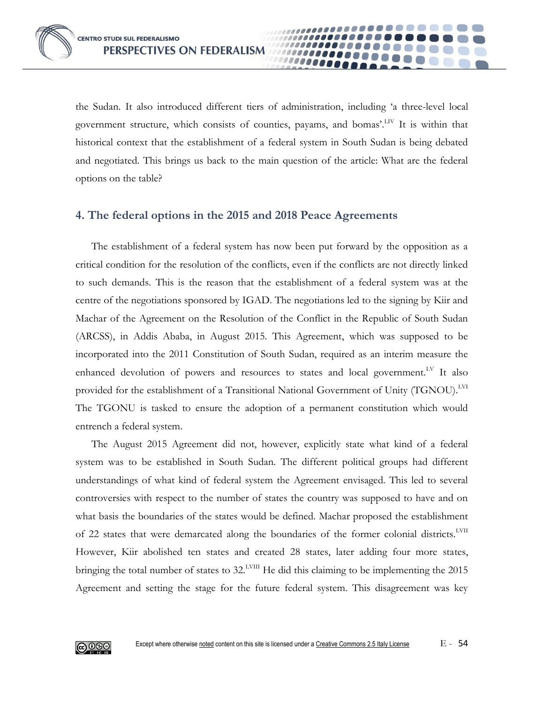the Sudan. It also introduced different tiers of administration, including 'a three-level local government structure, which consists of counties, payams, and bomas'.LIV It is within that historical context that the establishment of a federal system in South Sudan is being debated and negotiated. This brings us back to the main question of the article: What are the federal options on the table?

### **4. The federal options in the 2015 and 2018 Peace Agreements**

The establishment of a federal system has now been put forward by the opposition as a critical condition for the resolution of the conflicts, even if the conflicts are not directly linked to such demands. This is the reason that the establishment of a federal system was at the centre of the negotiations sponsored by IGAD. The negotiations led to the signing by Kiir and Machar of the Agreement on the Resolution of the Conflict in the Republic of South Sudan (ARCSS), in Addis Ababa, in August 2015. This Agreement, which was supposed to be incorporated into the 2011 Constitution of South Sudan, required as an interim measure the enhanced devolution of powers and resources to states and local government.<sup>LV</sup> It also provided for the establishment of a Transitional National Government of Unity (TGNOU).<sup>LVI</sup> The TGONU is tasked to ensure the adoption of a permanent constitution which would entrench a federal system.

The August 2015 Agreement did not, however, explicitly state what kind of a federal system was to be established in South Sudan. The different political groups had different understandings of what kind of federal system the Agreement envisaged. This led to several controversies with respect to the number of states the country was supposed to have and on what basis the boundaries of the states would be defined. Machar proposed the establishment of 22 states that were demarcated along the boundaries of the former colonial districts.<sup>LVII</sup> However, Kiir abolished ten states and created 28 states, later adding four more states, bringing the total number of states to 32.<sup>LVIII</sup> He did this claiming to be implementing the 2015 Agreement and setting the stage for the future federal system. This disagreement was key

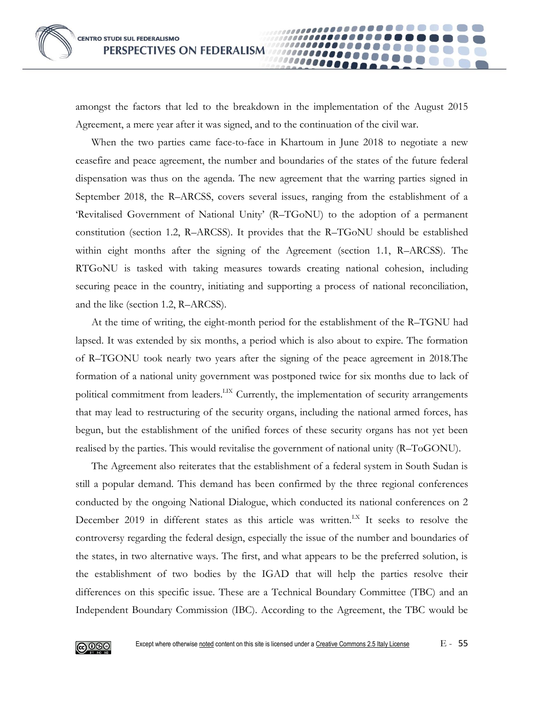amongst the factors that led to the breakdown in the implementation of the August 2015 Agreement, a mere year after it was signed, and to the continuation of the civil war.

1000 Q Q Q Q

When the two parties came face-to-face in Khartoum in June 2018 to negotiate a new ceasefire and peace agreement, the number and boundaries of the states of the future federal dispensation was thus on the agenda. The new agreement that the warring parties signed in September 2018, the R–ARCSS, covers several issues, ranging from the establishment of a 'Revitalised Government of National Unity' (R–TGoNU) to the adoption of a permanent constitution (section 1.2, R–ARCSS). It provides that the R–TGoNU should be established within eight months after the signing of the Agreement (section 1.1, R–ARCSS). The RTGoNU is tasked with taking measures towards creating national cohesion, including securing peace in the country, initiating and supporting a process of national reconciliation, and the like (section 1.2, R–ARCSS).

At the time of writing, the eight-month period for the establishment of the R–TGNU had lapsed. It was extended by six months, a period which is also about to expire. The formation of R–TGONU took nearly two years after the signing of the peace agreement in 2018.The formation of a national unity government was postponed twice for six months due to lack of political commitment from leaders.<sup>LIX</sup> Currently, the implementation of security arrangements that may lead to restructuring of the security organs, including the national armed forces, has begun, but the establishment of the unified forces of these security organs has not yet been realised by the parties. This would revitalise the government of national unity (R–ToGONU).

The Agreement also reiterates that the establishment of a federal system in South Sudan is still a popular demand. This demand has been confirmed by the three regional conferences conducted by the ongoing National Dialogue, which conducted its national conferences on 2 December 2019 in different states as this article was written.<sup>LX</sup> It seeks to resolve the controversy regarding the federal design, especially the issue of the number and boundaries of the states, in two alternative ways. The first, and what appears to be the preferred solution, is the establishment of two bodies by the IGAD that will help the parties resolve their differences on this specific issue. These are a Technical Boundary Committee (TBC) and an Independent Boundary Commission (IBC). According to the Agreement, the TBC would be

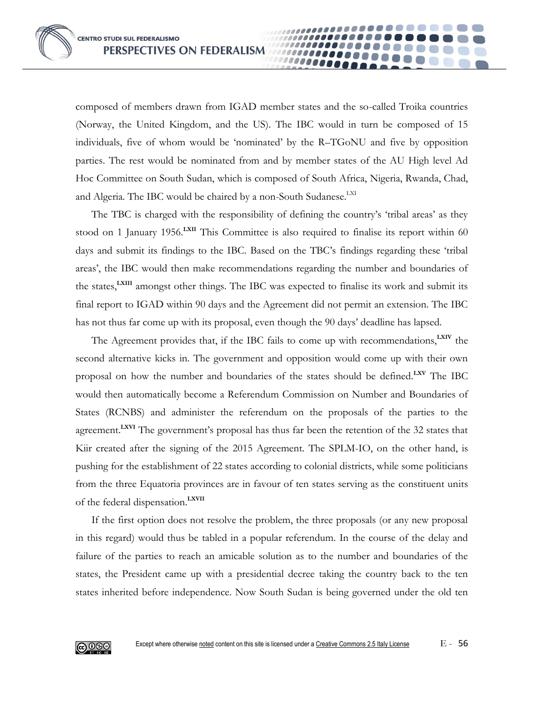composed of members drawn from IGAD member states and the so-called Troika countries (Norway, the United Kingdom, and the US). The IBC would in turn be composed of 15 individuals, five of whom would be 'nominated' by the R–TGoNU and five by opposition parties. The rest would be nominated from and by member states of the AU High level Ad Hoc Committee on South Sudan, which is composed of South Africa, Nigeria, Rwanda, Chad, and Algeria. The IBC would be chaired by a non-South Sudanese.<sup>LXI</sup>

The TBC is charged with the responsibility of defining the country's 'tribal areas' as they stood on 1 January 1956.<sup>LXII</sup> This Committee is also required to finalise its report within 60 days and submit its findings to the IBC. Based on the TBC's findings regarding these 'tribal areas', the IBC would then make recommendations regarding the number and boundaries of the states,**LXIII** amongst other things. The IBC was expected to finalise its work and submit its final report to IGAD within 90 days and the Agreement did not permit an extension. The IBC has not thus far come up with its proposal, even though the 90 days' deadline has lapsed.

The Agreement provides that, if the IBC fails to come up with recommendations,**LXIV** the second alternative kicks in. The government and opposition would come up with their own proposal on how the number and boundaries of the states should be defined.**LXV** The IBC would then automatically become a Referendum Commission on Number and Boundaries of States (RCNBS) and administer the referendum on the proposals of the parties to the agreement.**LXVI** The government's proposal has thus far been the retention of the 32 states that Kiir created after the signing of the 2015 Agreement. The SPLM-IO, on the other hand, is pushing for the establishment of 22 states according to colonial districts, while some politicians from the three Equatoria provinces are in favour of ten states serving as the constituent units of the federal dispensation.**LXVII**

If the first option does not resolve the problem, the three proposals (or any new proposal in this regard) would thus be tabled in a popular referendum. In the course of the delay and failure of the parties to reach an amicable solution as to the number and boundaries of the states, the President came up with a presidential decree taking the country back to the ten states inherited before independence. Now South Sudan is being governed under the old ten

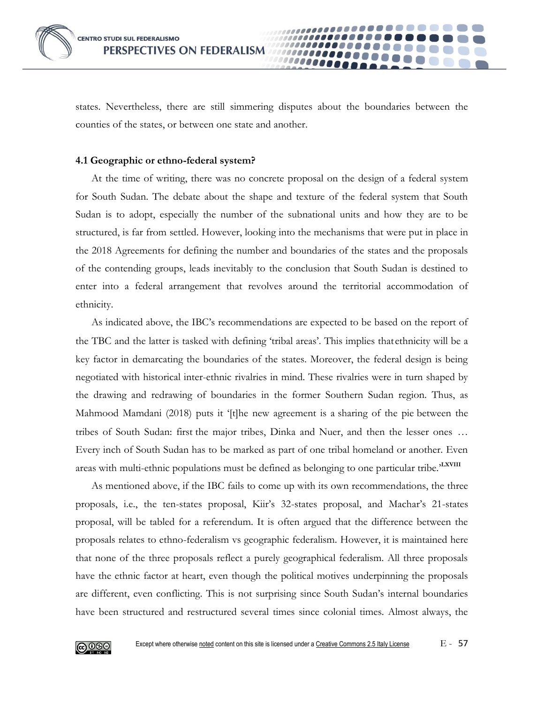states. Nevertheless, there are still simmering disputes about the boundaries between the counties of the states, or between one state and another.

100000

#### **4.1 Geographic or ethno-federal system?**

At the time of writing, there was no concrete proposal on the design of a federal system for South Sudan. The debate about the shape and texture of the federal system that South Sudan is to adopt, especially the number of the subnational units and how they are to be structured, is far from settled. However, looking into the mechanisms that were put in place in the 2018 Agreements for defining the number and boundaries of the states and the proposals of the contending groups, leads inevitably to the conclusion that South Sudan is destined to enter into a federal arrangement that revolves around the territorial accommodation of ethnicity.

As indicated above, the IBC's recommendations are expected to be based on the report of the TBC and the latter is tasked with defining 'tribal areas'. This implies that ethnicity will be a key factor in demarcating the boundaries of the states. Moreover, the federal design is being negotiated with historical inter-ethnic rivalries in mind. These rivalries were in turn shaped by the drawing and redrawing of boundaries in the former Southern Sudan region. Thus, as Mahmood Mamdani (2018) puts it '[t]he new agreement is a sharing of the pie between the tribes of South Sudan: first the major tribes, Dinka and Nuer, and then the lesser ones … Every inch of South Sudan has to be marked as part of one tribal homeland or another. Even areas with multi-ethnic populations must be defined as belonging to one particular tribe.<sup>'LXVIII</sup>

As mentioned above, if the IBC fails to come up with its own recommendations, the three proposals, i.e., the ten-states proposal, Kiir's 32-states proposal, and Machar's 21-states proposal, will be tabled for a referendum. It is often argued that the difference between the proposals relates to ethno-federalism vs geographic federalism. However, it is maintained here that none of the three proposals reflect a purely geographical federalism. All three proposals have the ethnic factor at heart, even though the political motives underpinning the proposals are different, even conflicting. This is not surprising since South Sudan's internal boundaries have been structured and restructured several times since colonial times. Almost always, the

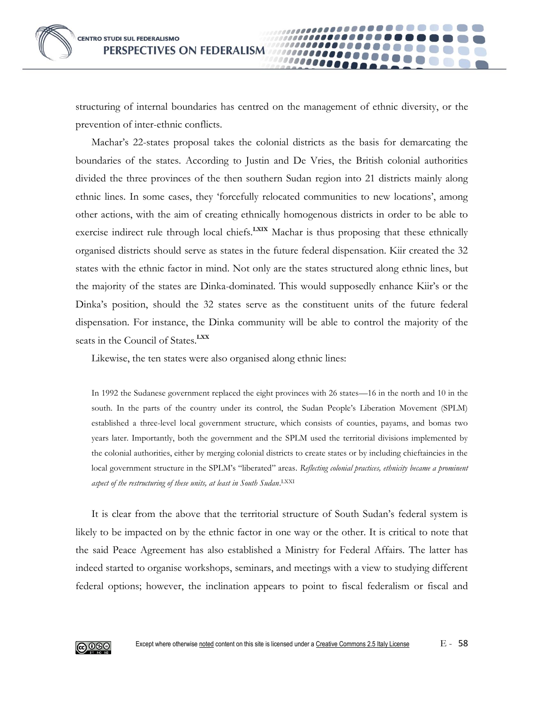structuring of internal boundaries has centred on the management of ethnic diversity, or the prevention of inter-ethnic conflicts.

Machar's 22-states proposal takes the colonial districts as the basis for demarcating the boundaries of the states. According to Justin and De Vries, the British colonial authorities divided the three provinces of the then southern Sudan region into 21 districts mainly along ethnic lines. In some cases, they 'forcefully relocated communities to new locations', among other actions, with the aim of creating ethnically homogenous districts in order to be able to exercise indirect rule through local chiefs.**LXIX** Machar is thus proposing that these ethnically organised districts should serve as states in the future federal dispensation. Kiir created the 32 states with the ethnic factor in mind. Not only are the states structured along ethnic lines, but the majority of the states are Dinka-dominated. This would supposedly enhance Kiir's or the Dinka's position, should the 32 states serve as the constituent units of the future federal dispensation. For instance, the Dinka community will be able to control the majority of the seats in the Council of States.**LXX**

Likewise, the ten states were also organised along ethnic lines:

In 1992 the Sudanese government replaced the eight provinces with 26 states—16 in the north and 10 in the south. In the parts of the country under its control, the Sudan People's Liberation Movement (SPLM) established a three-level local government structure, which consists of counties, payams, and bomas two years later. Importantly, both the government and the SPLM used the territorial divisions implemented by the colonial authorities, either by merging colonial districts to create states or by including chieftaincies in the local government structure in the SPLM's "liberated" areas*. Reflecting colonial practices, ethnicity became a prominent aspect of the restructuring of these units, at least in South Sudan*. LXXI

It is clear from the above that the territorial structure of South Sudan's federal system is likely to be impacted on by the ethnic factor in one way or the other. It is critical to note that the said Peace Agreement has also established a Ministry for Federal Affairs. The latter has indeed started to organise workshops, seminars, and meetings with a view to studying different federal options; however, the inclination appears to point to fiscal federalism or fiscal and

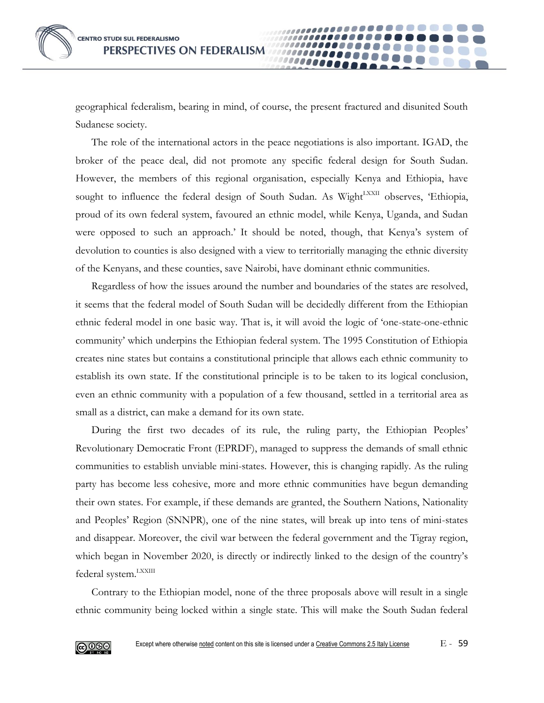geographical federalism, bearing in mind, of course, the present fractured and disunited South Sudanese society.

1000000

The role of the international actors in the peace negotiations is also important. IGAD, the broker of the peace deal, did not promote any specific federal design for South Sudan. However, the members of this regional organisation, especially Kenya and Ethiopia, have sought to influence the federal design of South Sudan. As Wight<sup>LXXII</sup> observes, 'Ethiopia, proud of its own federal system, favoured an ethnic model, while Kenya, Uganda, and Sudan were opposed to such an approach.' It should be noted, though, that Kenya's system of devolution to counties is also designed with a view to territorially managing the ethnic diversity of the Kenyans, and these counties, save Nairobi, have dominant ethnic communities.

Regardless of how the issues around the number and boundaries of the states are resolved, it seems that the federal model of South Sudan will be decidedly different from the Ethiopian ethnic federal model in one basic way. That is, it will avoid the logic of 'one-state-one-ethnic community' which underpins the Ethiopian federal system. The 1995 Constitution of Ethiopia creates nine states but contains a constitutional principle that allows each ethnic community to establish its own state. If the constitutional principle is to be taken to its logical conclusion, even an ethnic community with a population of a few thousand, settled in a territorial area as small as a district, can make a demand for its own state.

During the first two decades of its rule, the ruling party, the Ethiopian Peoples' Revolutionary Democratic Front (EPRDF), managed to suppress the demands of small ethnic communities to establish unviable mini-states. However, this is changing rapidly. As the ruling party has become less cohesive, more and more ethnic communities have begun demanding their own states. For example, if these demands are granted, the Southern Nations, Nationality and Peoples' Region (SNNPR), one of the nine states, will break up into tens of mini-states and disappear. Moreover, the civil war between the federal government and the Tigray region, which began in November 2020, is directly or indirectly linked to the design of the country's federal system.<sup>LXXIII</sup>

Contrary to the Ethiopian model, none of the three proposals above will result in a single ethnic community being locked within a single state. This will make the South Sudan federal

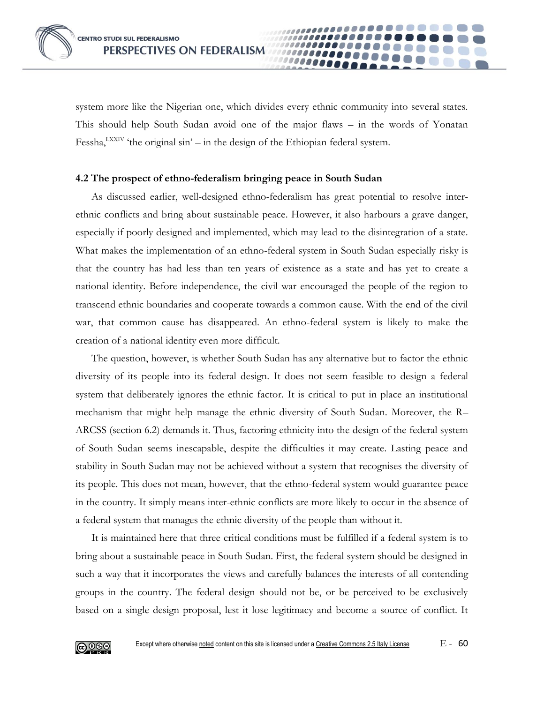system more like the Nigerian one, which divides every ethnic community into several states. This should help South Sudan avoid one of the major flaws – in the words of Yonatan Fessha,<sup>LXXIV</sup> 'the original sin' – in the design of the Ethiopian federal system.

#### **4.2 The prospect of ethno-federalism bringing peace in South Sudan**

As discussed earlier, well-designed ethno-federalism has great potential to resolve interethnic conflicts and bring about sustainable peace. However, it also harbours a grave danger, especially if poorly designed and implemented, which may lead to the disintegration of a state. What makes the implementation of an ethno-federal system in South Sudan especially risky is that the country has had less than ten years of existence as a state and has yet to create a national identity. Before independence, the civil war encouraged the people of the region to transcend ethnic boundaries and cooperate towards a common cause. With the end of the civil war, that common cause has disappeared. An ethno-federal system is likely to make the creation of a national identity even more difficult.

The question, however, is whether South Sudan has any alternative but to factor the ethnic diversity of its people into its federal design. It does not seem feasible to design a federal system that deliberately ignores the ethnic factor. It is critical to put in place an institutional mechanism that might help manage the ethnic diversity of South Sudan. Moreover, the R– ARCSS (section 6.2) demands it. Thus, factoring ethnicity into the design of the federal system of South Sudan seems inescapable, despite the difficulties it may create. Lasting peace and stability in South Sudan may not be achieved without a system that recognises the diversity of its people. This does not mean, however, that the ethno-federal system would guarantee peace in the country. It simply means inter-ethnic conflicts are more likely to occur in the absence of a federal system that manages the ethnic diversity of the people than without it.

It is maintained here that three critical conditions must be fulfilled if a federal system is to bring about a sustainable peace in South Sudan. First, the federal system should be designed in such a way that it incorporates the views and carefully balances the interests of all contending groups in the country. The federal design should not be, or be perceived to be exclusively based on a single design proposal, lest it lose legitimacy and become a source of conflict. It

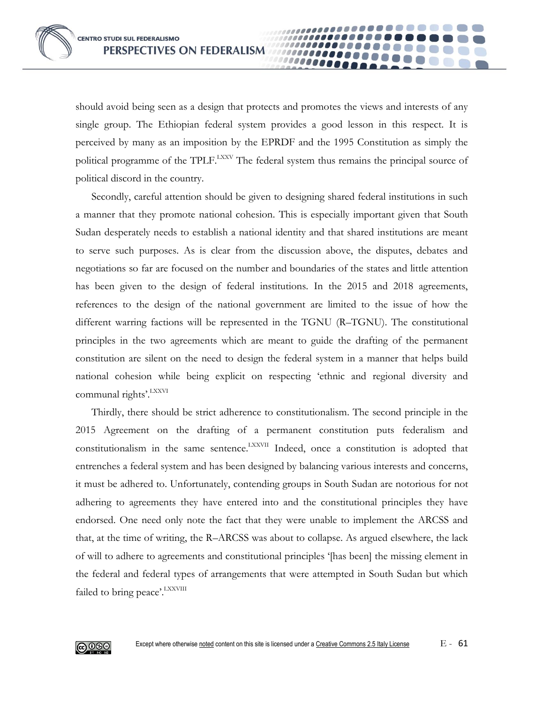should avoid being seen as a design that protects and promotes the views and interests of any single group. The Ethiopian federal system provides a good lesson in this respect. It is perceived by many as an imposition by the EPRDF and the 1995 Constitution as simply the political programme of the TPLF.<sup>LXXV</sup> The federal system thus remains the principal source of political discord in the country.

Secondly, careful attention should be given to designing shared federal institutions in such a manner that they promote national cohesion. This is especially important given that South Sudan desperately needs to establish a national identity and that shared institutions are meant to serve such purposes. As is clear from the discussion above, the disputes, debates and negotiations so far are focused on the number and boundaries of the states and little attention has been given to the design of federal institutions. In the 2015 and 2018 agreements, references to the design of the national government are limited to the issue of how the different warring factions will be represented in the TGNU (R–TGNU). The constitutional principles in the two agreements which are meant to guide the drafting of the permanent constitution are silent on the need to design the federal system in a manner that helps build national cohesion while being explicit on respecting 'ethnic and regional diversity and communal rights'. LXXVI

Thirdly, there should be strict adherence to constitutionalism. The second principle in the 2015 Agreement on the drafting of a permanent constitution puts federalism and constitutionalism in the same sentence.<sup>LXXVII</sup> Indeed, once a constitution is adopted that entrenches a federal system and has been designed by balancing various interests and concerns, it must be adhered to. Unfortunately, contending groups in South Sudan are notorious for not adhering to agreements they have entered into and the constitutional principles they have endorsed. One need only note the fact that they were unable to implement the ARCSS and that, at the time of writing, the R–ARCSS was about to collapse. As argued elsewhere, the lack of will to adhere to agreements and constitutional principles '[has been] the missing element in the federal and federal types of arrangements that were attempted in South Sudan but which failed to bring peace'. LXXVIII

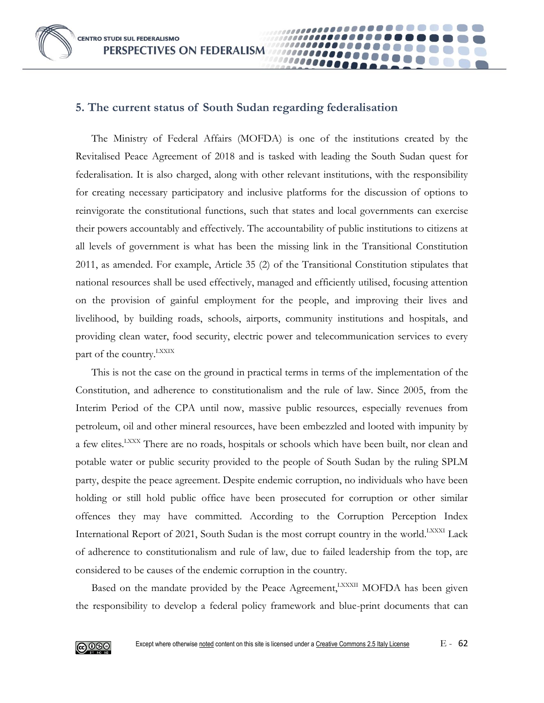# **5. The current status of South Sudan regarding federalisation**

The Ministry of Federal Affairs (MOFDA) is one of the institutions created by the Revitalised Peace Agreement of 2018 and is tasked with leading the South Sudan quest for federalisation. It is also charged, along with other relevant institutions, with the responsibility for creating necessary participatory and inclusive platforms for the discussion of options to reinvigorate the constitutional functions, such that states and local governments can exercise their powers accountably and effectively. The accountability of public institutions to citizens at all levels of government is what has been the missing link in the Transitional Constitution 2011, as amended. For example, Article 35 (2) of the Transitional Constitution stipulates that national resources shall be used effectively, managed and efficiently utilised, focusing attention on the provision of gainful employment for the people, and improving their lives and livelihood, by building roads, schools, airports, community institutions and hospitals, and providing clean water, food security, electric power and telecommunication services to every part of the country. LXXIX

This is not the case on the ground in practical terms in terms of the implementation of the Constitution, and adherence to constitutionalism and the rule of law. Since 2005, from the Interim Period of the CPA until now, massive public resources, especially revenues from petroleum, oil and other mineral resources, have been embezzled and looted with impunity by a few elites.<sup>LXXX</sup> There are no roads, hospitals or schools which have been built, nor clean and potable water or public security provided to the people of South Sudan by the ruling SPLM party, despite the peace agreement. Despite endemic corruption, no individuals who have been holding or still hold public office have been prosecuted for corruption or other similar offences they may have committed. According to the Corruption Perception Index International Report of 2021, South Sudan is the most corrupt country in the world.<sup>LXXXI</sup> Lack of adherence to constitutionalism and rule of law, due to failed leadership from the top, are considered to be causes of the endemic corruption in the country.

Based on the mandate provided by the Peace Agreement, LXXXII MOFDA has been given the responsibility to develop a federal policy framework and blue-print documents that can

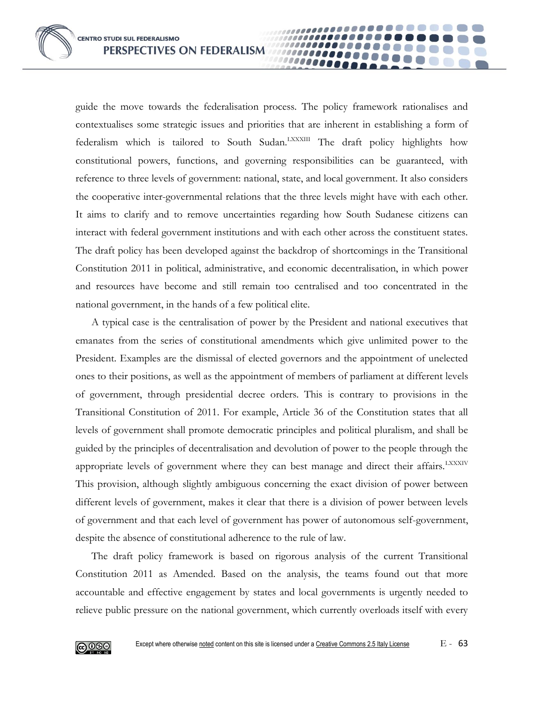**CENTRO STUDI SUL FEDERALISMO PERSPECTIVES ON FEDERALISM** 

guide the move towards the federalisation process. The policy framework rationalises and contextualises some strategic issues and priorities that are inherent in establishing a form of federalism which is tailored to South Sudan.<sup>LXXXIII</sup> The draft policy highlights how constitutional powers, functions, and governing responsibilities can be guaranteed, with reference to three levels of government: national, state, and local government. It also considers the cooperative inter-governmental relations that the three levels might have with each other. It aims to clarify and to remove uncertainties regarding how South Sudanese citizens can interact with federal government institutions and with each other across the constituent states. The draft policy has been developed against the backdrop of shortcomings in the Transitional Constitution 2011 in political, administrative, and economic decentralisation, in which power and resources have become and still remain too centralised and too concentrated in the national government, in the hands of a few political elite.

A typical case is the centralisation of power by the President and national executives that emanates from the series of constitutional amendments which give unlimited power to the President. Examples are the dismissal of elected governors and the appointment of unelected ones to their positions, as well as the appointment of members of parliament at different levels of government, through presidential decree orders. This is contrary to provisions in the Transitional Constitution of 2011. For example, Article 36 of the Constitution states that all levels of government shall promote democratic principles and political pluralism, and shall be guided by the principles of decentralisation and devolution of power to the people through the appropriate levels of government where they can best manage and direct their affairs. LXXXIV This provision, although slightly ambiguous concerning the exact division of power between different levels of government, makes it clear that there is a division of power between levels of government and that each level of government has power of autonomous self-government, despite the absence of constitutional adherence to the rule of law.

The draft policy framework is based on rigorous analysis of the current Transitional Constitution 2011 as Amended. Based on the analysis, the teams found out that more accountable and effective engagement by states and local governments is urgently needed to relieve public pressure on the national government, which currently overloads itself with every

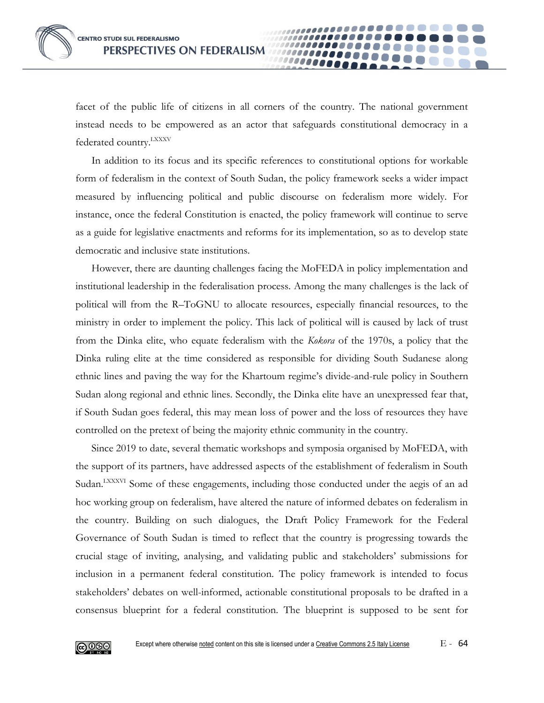facet of the public life of citizens in all corners of the country. The national government instead needs to be empowered as an actor that safeguards constitutional democracy in a federated country.<sup>LXXXV</sup>

10000e

In addition to its focus and its specific references to constitutional options for workable form of federalism in the context of South Sudan, the policy framework seeks a wider impact measured by influencing political and public discourse on federalism more widely. For instance, once the federal Constitution is enacted, the policy framework will continue to serve as a guide for legislative enactments and reforms for its implementation, so as to develop state democratic and inclusive state institutions.

However, there are daunting challenges facing the MoFEDA in policy implementation and institutional leadership in the federalisation process. Among the many challenges is the lack of political will from the R–ToGNU to allocate resources, especially financial resources, to the ministry in order to implement the policy. This lack of political will is caused by lack of trust from the Dinka elite, who equate federalism with the *Kokora* of the 1970s, a policy that the Dinka ruling elite at the time considered as responsible for dividing South Sudanese along ethnic lines and paving the way for the Khartoum regime's divide-and-rule policy in Southern Sudan along regional and ethnic lines. Secondly, the Dinka elite have an unexpressed fear that, if South Sudan goes federal, this may mean loss of power and the loss of resources they have controlled on the pretext of being the majority ethnic community in the country.

Since 2019 to date, several thematic workshops and symposia organised by MoFEDA, with the support of its partners, have addressed aspects of the establishment of federalism in South Sudan.<sup>LXXXVI</sup> Some of these engagements, including those conducted under the aegis of an ad hoc working group on federalism, have altered the nature of informed debates on federalism in the country. Building on such dialogues, the Draft Policy Framework for the Federal Governance of South Sudan is timed to reflect that the country is progressing towards the crucial stage of inviting, analysing, and validating public and stakeholders' submissions for inclusion in a permanent federal constitution. The policy framework is intended to focus stakeholders' debates on well-informed, actionable constitutional proposals to be drafted in a consensus blueprint for a federal constitution. The blueprint is supposed to be sent for

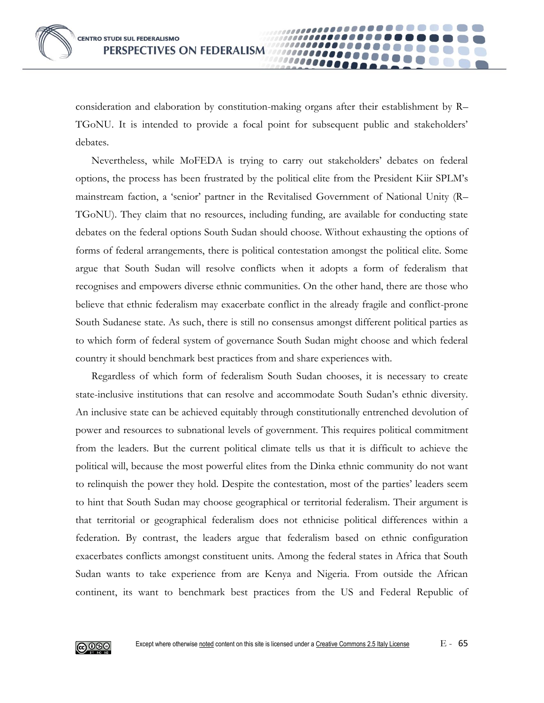consideration and elaboration by constitution-making organs after their establishment by R– TGoNU. It is intended to provide a focal point for subsequent public and stakeholders' debates.

10000A

Nevertheless, while MoFEDA is trying to carry out stakeholders' debates on federal options, the process has been frustrated by the political elite from the President Kiir SPLM's mainstream faction, a 'senior' partner in the Revitalised Government of National Unity (R– TGoNU). They claim that no resources, including funding, are available for conducting state debates on the federal options South Sudan should choose. Without exhausting the options of forms of federal arrangements, there is political contestation amongst the political elite. Some argue that South Sudan will resolve conflicts when it adopts a form of federalism that recognises and empowers diverse ethnic communities. On the other hand, there are those who believe that ethnic federalism may exacerbate conflict in the already fragile and conflict-prone South Sudanese state. As such, there is still no consensus amongst different political parties as to which form of federal system of governance South Sudan might choose and which federal country it should benchmark best practices from and share experiences with.

Regardless of which form of federalism South Sudan chooses, it is necessary to create state-inclusive institutions that can resolve and accommodate South Sudan's ethnic diversity. An inclusive state can be achieved equitably through constitutionally entrenched devolution of power and resources to subnational levels of government. This requires political commitment from the leaders. But the current political climate tells us that it is difficult to achieve the political will, because the most powerful elites from the Dinka ethnic community do not want to relinquish the power they hold. Despite the contestation, most of the parties' leaders seem to hint that South Sudan may choose geographical or territorial federalism. Their argument is that territorial or geographical federalism does not ethnicise political differences within a federation. By contrast, the leaders argue that federalism based on ethnic configuration exacerbates conflicts amongst constituent units. Among the federal states in Africa that South Sudan wants to take experience from are Kenya and Nigeria. From outside the African continent, its want to benchmark best practices from the US and Federal Republic of

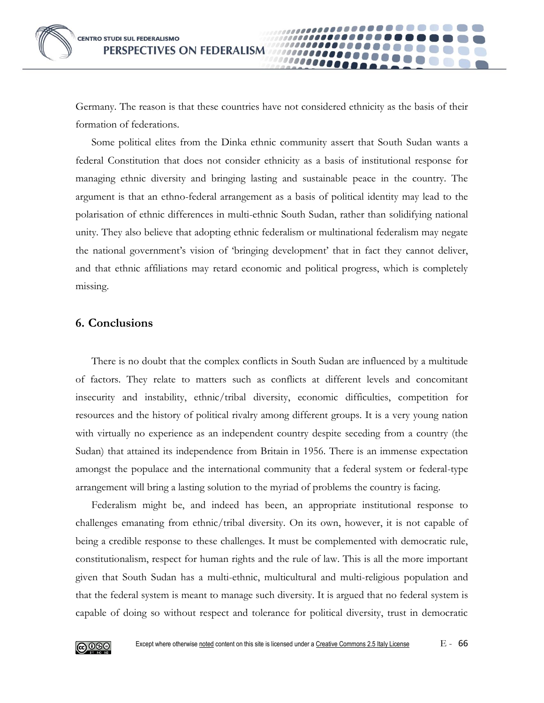Germany. The reason is that these countries have not considered ethnicity as the basis of their formation of federations.

Some political elites from the Dinka ethnic community assert that South Sudan wants a federal Constitution that does not consider ethnicity as a basis of institutional response for managing ethnic diversity and bringing lasting and sustainable peace in the country. The argument is that an ethno-federal arrangement as a basis of political identity may lead to the polarisation of ethnic differences in multi-ethnic South Sudan, rather than solidifying national unity. They also believe that adopting ethnic federalism or multinational federalism may negate the national government's vision of 'bringing development' that in fact they cannot deliver, and that ethnic affiliations may retard economic and political progress, which is completely missing.

## **6. Conclusions**

There is no doubt that the complex conflicts in South Sudan are influenced by a multitude of factors. They relate to matters such as conflicts at different levels and concomitant insecurity and instability, ethnic/tribal diversity, economic difficulties, competition for resources and the history of political rivalry among different groups. It is a very young nation with virtually no experience as an independent country despite seceding from a country (the Sudan) that attained its independence from Britain in 1956. There is an immense expectation amongst the populace and the international community that a federal system or federal-type arrangement will bring a lasting solution to the myriad of problems the country is facing.

Federalism might be, and indeed has been, an appropriate institutional response to challenges emanating from ethnic/tribal diversity. On its own, however, it is not capable of being a credible response to these challenges. It must be complemented with democratic rule, constitutionalism, respect for human rights and the rule of law. This is all the more important given that South Sudan has a multi-ethnic, multicultural and multi-religious population and that the federal system is meant to manage such diversity. It is argued that no federal system is capable of doing so without respect and tolerance for political diversity, trust in democratic

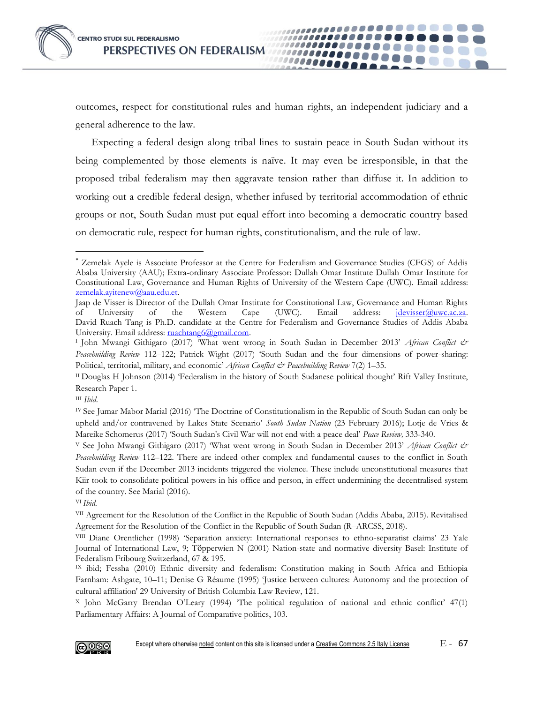outcomes, respect for constitutional rules and human rights, an independent judiciary and a general adherence to the law.

....... . . . . . . . . . . .

100000000 10000000

,,,,,,,,,,,,,,,,,,,,,,

Expecting a federal design along tribal lines to sustain peace in South Sudan without its being complemented by those elements is naïve. It may even be irresponsible, in that the proposed tribal federalism may then aggravate tension rather than diffuse it. In addition to working out a credible federal design, whether infused by territorial accommodation of ethnic groups or not, South Sudan must put equal effort into becoming a democratic country based on democratic rule, respect for human rights, constitutionalism, and the rule of law.

 $\overline{a}$ 

<sup>X</sup> John McGarry Brendan O'Leary (1994) 'The political regulation of national and ethnic conflict' 47(1) Parliamentary Affairs: A Journal of Comparative politics, 103.



Zemelak Ayele is Associate Professor at the Centre for Federalism and Governance Studies (CFGS) of Addis Ababa University (AAU); Extra-ordinary Associate Professor: Dullah Omar Institute Dullah Omar Institute for Constitutional Law, Governance and Human Rights of University of the Western Cape (UWC). Email address: [zemelak.ayitenew@aau.edu.et.](mailto:zemelak.ayitenew@aau.edu.et)

Jaap de Visser is Director of the Dullah Omar Institute for Constitutional Law, Governance and Human Rights of University of the Western Cape (UWC). Email address: *jdevisser@uwc.ac.za*. David Ruach Tang is Ph.D. candidate at the Centre for Federalism and Governance Studies of Addis Ababa University. Email address: [ruachtang6@gmail.com.](mailto:ruachtang6@gmail.com)

I John Mwangi Githigaro (2017) 'What went wrong in South Sudan in December 2013' *African Conflict & Peacebuilding Review* 112–122; Patrick Wight (2017) 'South Sudan and the four dimensions of power-sharing: Political, territorial, military, and economic' *African Conflict & Peacebuilding Review* 7(2) 1–35.

II Douglas H Johnson (2014) 'Federalism in the history of South Sudanese political thought' Rift Valley Institute, Research Paper 1.

III *Ibid*.

IV See Jumar Mabor Marial (2016) 'The Doctrine of Constitutionalism in the Republic of South Sudan can only be upheld and/or contravened by Lakes State Scenario' *South Sudan Nation* (23 February 2016); Lotje de Vries & Mareike Schomerus (2017) 'South Sudan's Civil War will not end with a peace deal' *Peace Review,* 333-340.

<sup>V</sup> See John Mwangi Githigaro (2017) 'What went wrong in South Sudan in December 2013' *African Conflict & Peacebuilding Review* 112–122. There are indeed other complex and fundamental causes to the conflict in South Sudan even if the December 2013 incidents triggered the violence. These include unconstitutional measures that Kiir took to consolidate political powers in his office and person, in effect undermining the decentralised system of the country. See Marial (2016).

VI *Ibid*.

VII Agreement for the Resolution of the Conflict in the Republic of South Sudan (Addis Ababa, 2015). Revitalised Agreement for the Resolution of the Conflict in the Republic of South Sudan (R–ARCSS, 2018).

VIII Diane Orentlicher (1998) 'Separation anxiety: International responses to ethno-separatist claims' 23 Yale Journal of International Law, 9; Tӧpperwien N (2001) Nation-state and normative diversity Basel: Institute of Federalism Fribourg Switzerland, 67 & 195.

IX ibid; Fessha (2010) Ethnic diversity and federalism: Constitution making in South Africa and Ethiopia Farnham: Ashgate, 10–11; Denise G Réaume (1995) 'Justice between cultures: Autonomy and the protection of cultural affiliation' 29 University of British Columbia Law Review, 121.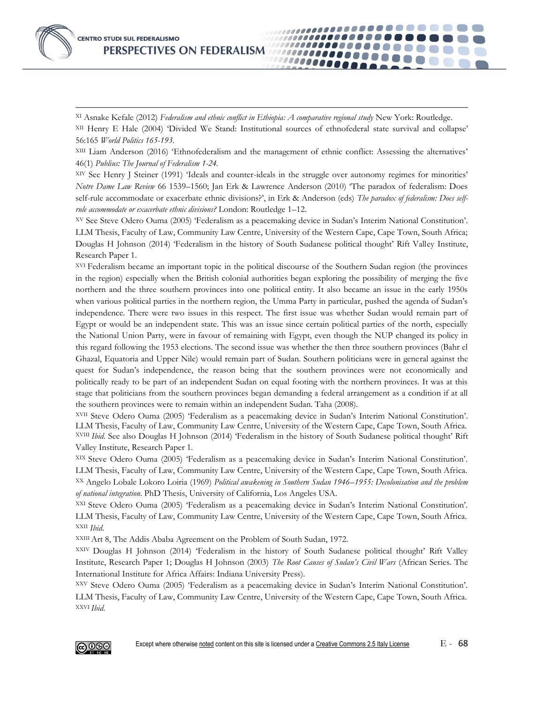**CENTRO STUDI SUL FEDERALISMO** PERSPECTIVES ON FEDERALISM

 $\overline{a}$ 

XI Asnake Kefale (2012) *Federalism and ethnic conflict in Ethiopia: A comparative regional study* New York: Routledge.

XII Henry E Hale (2004) 'Divided We Stand: Institutional sources of ethnofederal state survival and collapse' 56:165 *World Politics 165-193.*

*.......* 10000000 .......

XIII Liam Anderson (2016) 'Ethnofederalism and the management of ethnic conflict: Assessing the alternatives' 46(1) *Publius: The Journal of Federalism 1-24.*

XIV See Henry J Steiner (1991) 'Ideals and counter-ideals in the struggle over autonomy regimes for minorities' *Notre Dame Law Review* 66 1539–1560; Jan Erk & Lawrence Anderson (2010) 'The paradox of federalism: Does self-rule accommodate or exacerbate ethnic divisions?', in Erk & Anderson (eds) *The paradox of federalism: Does selfrule accommodate or exacerbate ethnic divisions?* London: Routledge 1–12.

XV See Steve Odero Ouma (2005) 'Federalism as a peacemaking device in Sudan's Interim National Constitution'. LLM Thesis, Faculty of Law, Community Law Centre, University of the Western Cape, Cape Town, South Africa; Douglas H Johnson (2014) 'Federalism in the history of South Sudanese political thought' Rift Valley Institute, Research Paper 1.

XVI Federalism became an important topic in the political discourse of the Southern Sudan region (the provinces in the region) especially when the British colonial authorities began exploring the possibility of merging the five northern and the three southern provinces into one political entity. It also became an issue in the early 1950s when various political parties in the northern region, the Umma Party in particular, pushed the agenda of Sudan's independence. There were two issues in this respect. The first issue was whether Sudan would remain part of Egypt or would be an independent state. This was an issue since certain political parties of the north, especially the National Union Party, were in favour of remaining with Egypt, even though the NUP changed its policy in this regard following the 1953 elections. The second issue was whether the then three southern provinces (Bahr el Ghazal, Equatoria and Upper Nile) would remain part of Sudan. Southern politicians were in general against the quest for Sudan's independence, the reason being that the southern provinces were not economically and politically ready to be part of an independent Sudan on equal footing with the northern provinces. It was at this stage that politicians from the southern provinces began demanding a federal arrangement as a condition if at all the southern provinces were to remain within an independent Sudan. Taha (2008).

XVII Steve Odero Ouma (2005) 'Federalism as a peacemaking device in Sudan's Interim National Constitution'. LLM Thesis, Faculty of Law, Community Law Centre, University of the Western Cape, Cape Town, South Africa. XVIII *Ibid*. See also Douglas H Johnson (2014) 'Federalism in the history of South Sudanese political thought' Rift Valley Institute, Research Paper 1.

XIX Steve Odero Ouma (2005) 'Federalism as a peacemaking device in Sudan's Interim National Constitution'. LLM Thesis, Faculty of Law, Community Law Centre, University of the Western Cape, Cape Town, South Africa. XX Angelo Lobale Lokoro Loiria (1969) *Political awakening in Southern Sudan 1946–1955: Decolonisation and the problem of national integration*. PhD Thesis, University of California, Los Angeles USA.

XXI Steve Odero Ouma (2005) 'Federalism as a peacemaking device in Sudan's Interim National Constitution'. LLM Thesis, Faculty of Law, Community Law Centre, University of the Western Cape, Cape Town, South Africa. XXII *Ibid*.

XXIII Art 8, The Addis Ababa Agreement on the Problem of South Sudan, 1972.

XXIV Douglas H Johnson (2014) 'Federalism in the history of South Sudanese political thought' Rift Valley Institute, Research Paper 1; Douglas H Johnson (2003) *The Root Causes of Sudan's Civil Wars* (African Series. The International Institute for Africa Affairs: Indiana University Press).

XXV Steve Odero Ouma (2005) 'Federalism as a peacemaking device in Sudan's Interim National Constitution'. LLM Thesis, Faculty of Law, Community Law Centre, University of the Western Cape, Cape Town, South Africa. XXVI *Ibid*.

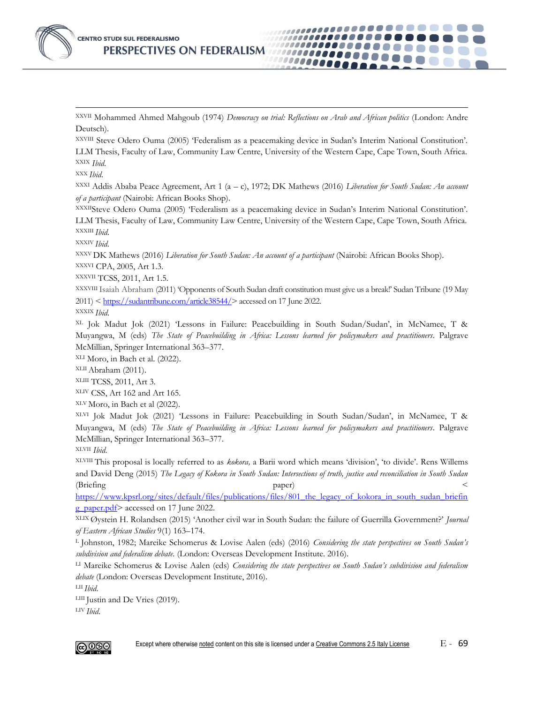

XXVII Mohammed Ahmed Mahgoub (1974) *Democracy on trial: Reflections on Arab and African politics* (London: Andre Deutsch).

100000A 10000000

...................

XXVIII Steve Odero Ouma (2005) 'Federalism as a peacemaking device in Sudan's Interim National Constitution'. LLM Thesis, Faculty of Law, Community Law Centre, University of the Western Cape, Cape Town, South Africa. XXIX *Ibid*.

XXX *Ibid*.

 $\overline{a}$ 

XXXI Addis Ababa Peace Agreement, Art 1 (a – c), 1972; DK Mathews (2016) *Liberation for South Sudan: An account of a participant* (Nairobi: African Books Shop).

XXXIISteve Odero Ouma (2005) 'Federalism as a peacemaking device in Sudan's Interim National Constitution'. LLM Thesis, Faculty of Law, Community Law Centre, University of the Western Cape, Cape Town, South Africa. XXXIII *Ibid*.

XXXIV *Ibid*.

XXXV DK Mathews (2016) *Liberation for South Sudan: An account of a participant* (Nairobi: African Books Shop). XXXVI CPA, 2005, Art 1.3.

XXXVII TCSS, 2011, Art 1.5.

XXXVIII Isaiah Abraham (2011) 'Opponents of South Sudan draft constitution must give us a break!' Sudan Tribune (19 May 2011) < [https://sudantribune.com/article38544/>](https://sudantribune.com/article38544/) accessed on 17 June 2022.

XXXIX *Ibid*.

XL Jok Madut Jok (2021) 'Lessons in Failure: Peacebuilding in South Sudan/Sudan', in McNamee, T & Muyangwa, M (eds) *The State of Peacebuilding in Africa: Lessons learned for policymakers and practitioners*. Palgrave McMillian, Springer International 363–377.

XLI Moro, in Bach et al. (2022).

XLIIAbraham (2011).

XLIII TCSS, 2011, Art 3.

XLIV CSS, Art 162 and Art 165.

XLV Moro, in Bach et al (2022).

XLVI Jok Madut Jok (2021) 'Lessons in Failure: Peacebuilding in South Sudan/Sudan', in McNamee, T & Muyangwa, M (eds) *The State of Peacebuilding in Africa: Lessons learned for policymakers and practitioners*. Palgrave McMillian, Springer International 363–377.

XLVII *Ibid*.

XLVIII This proposal is locally referred to as *kokora,* a Barii word which means 'division', 'to divide'. Rens Willems and David Deng (2015) *The Legacy of Kokora in South Sudan: Intersections of truth, justice and reconciliation in South Sudan* (Briefing  $\rho_{\text{aper}}$ )  $\langle$ 

[https://www.kpsrl.org/sites/default/files/publications/files/801\\_the\\_legacy\\_of\\_kokora\\_in\\_south\\_sudan\\_briefin](https://www.kpsrl.org/sites/default/files/publications/files/801_the_legacy_of_kokora_in_south_sudan_briefing_paper.pdf) [g\\_paper.pdf>](https://www.kpsrl.org/sites/default/files/publications/files/801_the_legacy_of_kokora_in_south_sudan_briefing_paper.pdf) accessed on 17 June 2022.

XLIX Øystein H. Rolandsen (2015) 'Another civil war in South Sudan: the failure of Guerrilla Government?' *Journal of Eastern African Studies* 9(1) 163–174.

<sup>L</sup> Johnston, 1982; Mareike Schomerus & Lovise Aalen (eds) (2016) *Considering the state perspectives on South Sudan's subdivision and federalism debate*. (London: Overseas Development Institute. 2016).

LI Mareike Schomerus & Lovise Aalen (eds) *Considering the state perspectives on South Sudan's subdivision and federalism debate* (London: Overseas Development Institute, 2016).

LII *Ibid*.

LIII Justin and De Vries (2019). LIV *Ibid*.

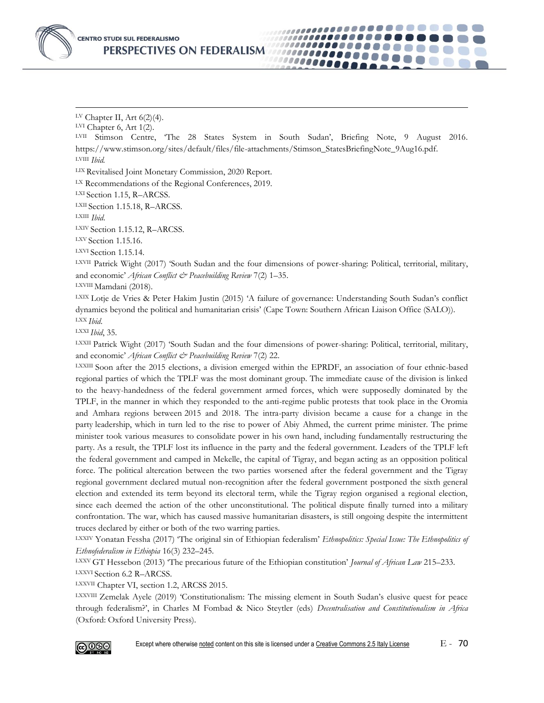

 $\overline{a}$ LV Chapter II, Art 6(2)(4). LVI Chapter 6, Art 1(2). LVII Stimson Centre, 'The 28 States System in South Sudan', Briefing Note, 9 August 2016. https://www.stimson.org/sites/default/files/file-attachments/Stimson\_StatesBriefingNote\_9Aug16.pdf. LVIII *Ibid.* LIX Revitalised Joint Monetary Commission, 2020 Report. LX Recommendations of the Regional Conferences, 2019. LXI Section 1.15, R–ARCSS. LXII Section 1.15.18, R–ARCSS. LXIII *Ibid*. LXIV Section 1.15.12, R-ARCSS. LXV Section 1.15.16. LXVI Section 1.15.14. LXVII Patrick Wight (2017) 'South Sudan and the four dimensions of power-sharing: Political, territorial, military, and economic' *African Conflict & Peacebuilding Review* 7(2) 1–35. LXVIII Mamdani (2018). LXIX Lotje de Vries & Peter Hakim Justin (2015) 'A failure of governance: Understanding South Sudan's conflict dynamics beyond the political and humanitarian crisis' (Cape Town: Southern African Liaison Office (SALO)). LXX *Ibid*. LXXI *Ibid*, 35. LXXII Patrick Wight (2017) 'South Sudan and the four dimensions of power-sharing: Political, territorial, military, and economic' *African Conflict & Peacebuilding Review* 7(2) 22.

*.......* 10000000 .......

LXXIII Soon after the 2015 elections, a division emerged within the EPRDF, an association of four ethnic-based regional parties of which the TPLF was the most dominant group. The immediate cause of the division is linked to the heavy-handedness of the federal government armed forces, which were supposedly dominated by the TPLF, in the manner in which they responded to the anti-regime public protests that took place in the Oromia and Amhara regions between 2015 and 2018. The intra-party division became a cause for a change in the party leadership, which in turn led to the rise to power of Abiy Ahmed, the current prime minister. The prime minister took various measures to consolidate power in his own hand, including fundamentally restructuring the party. As a result, the TPLF lost its influence in the party and the federal government. Leaders of the TPLF left the federal government and camped in Mekelle, the capital of Tigray, and began acting as an opposition political force. The political altercation between the two parties worsened after the federal government and the Tigray regional government declared mutual non-recognition after the federal government postponed the sixth general election and extended its term beyond its electoral term, while the Tigray region organised a regional election, since each deemed the action of the other unconstitutional. The political dispute finally turned into a military confrontation. The war, which has caused massive humanitarian disasters, is still ongoing despite the intermittent truces declared by either or both of the two warring parties.

LXXIV Yonatan Fessha (2017) 'The original sin of Ethiopian federalism' *Ethnopolitics: Special Issue: The Ethnopolitics of Ethnofederalism in Ethiopia* 16(3) 232–245.

LXXV GT Hessebon (2013) 'The precarious future of the Ethiopian constitution' *Journal of African Law* 215–233. LXXVI Section 6.2 R–ARCSS.

LXXVII Chapter VI, section 1.2, ARCSS 2015.

LXXVIII Zemelak Ayele (2019) 'Constitutionalism: The missing element in South Sudan's elusive quest for peace through federalism?', in Charles M Fombad & Nico Steytler (eds) *Decentralisation and Constitutionalism in Africa* (Oxford: Oxford University Press).